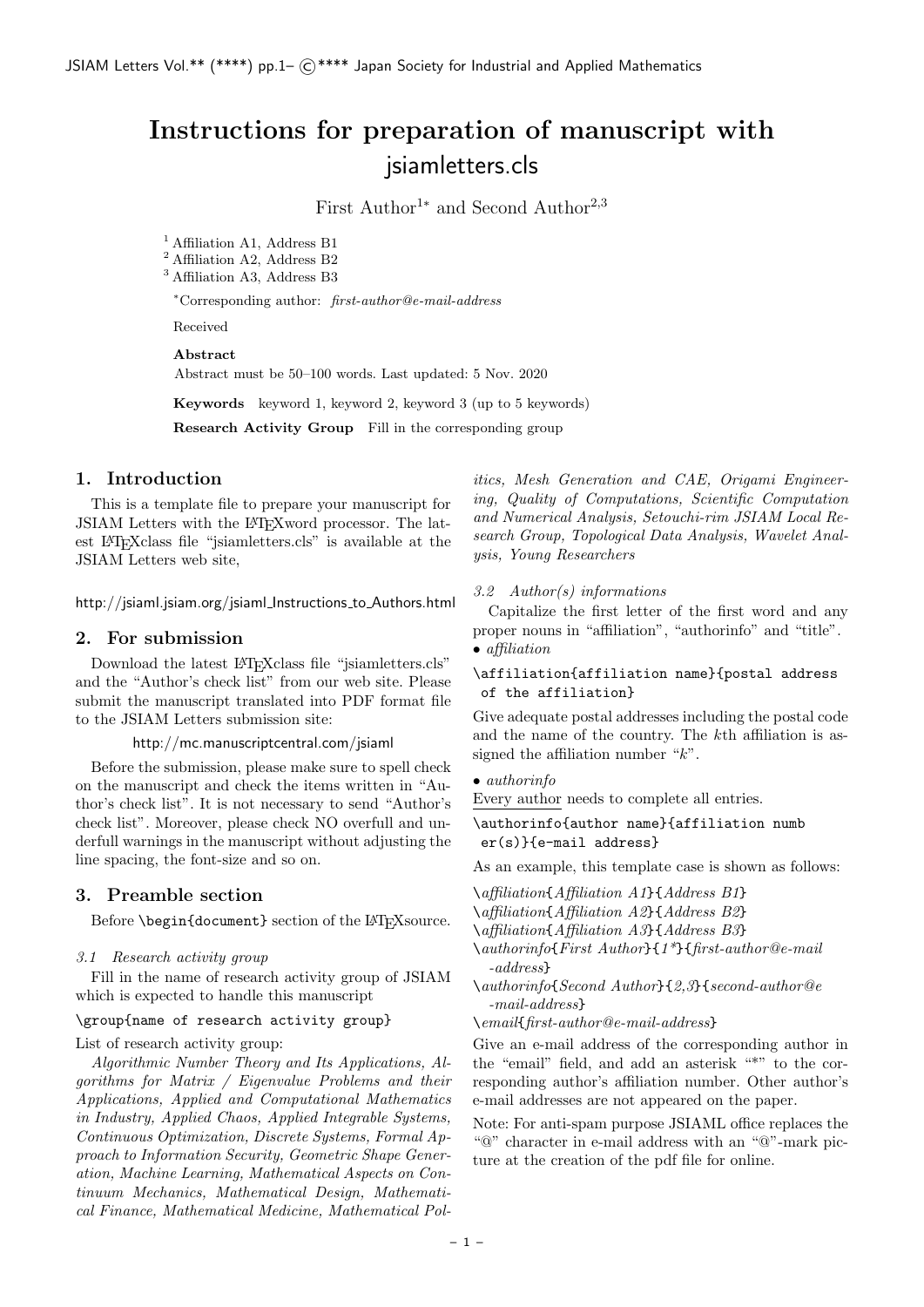# **Instructions for preparation of manuscript with** jsiamletters.cls

First Author<sup>1∗</sup> and Second Author<sup>2,3</sup>

<sup>1</sup> Affiliation A1, Address B1

<sup>2</sup> Affiliation A2, Address B2

<sup>3</sup> Affiliation A3, Address B3

*<sup>∗</sup>*Corresponding author: *first-author@e-mail-address*

Received

**Abstract**

Abstract must be 50–100 words. Last updated: 5 Nov. 2020

**Keywords** keyword 1, keyword 2, keyword 3 (up to 5 keywords)

**Research Activity Group** Fill in the corresponding group

#### **1. Introduction**

This is a template file to prepare your manuscript for JSIAM Letters with the LATEXword processor. The latest LATEXclass file "jsiamletters.cls" is available at the JSIAM Letters web site,

http://jsiaml.jsiam.org/jsiaml Instructions to Authors.html

# **2. For submission**

Download the latest LATEXclass file "jsiamletters.cls" and the "Author's check list" from our web site. Please submit the manuscript translated into PDF format file to the JSIAM Letters submission site:

http://mc.manuscriptcentral.com/jsiaml

Before the submission, please make sure to spell check on the manuscript and check the items written in "Author's check list". It is not necessary to send "Author's check list". Moreover, please check NO overfull and underfull warnings in the manuscript without adjusting the line spacing, the font-size and so on.

# **3. Preamble section**

Before \begin{document} section of the LAT<sub>E</sub>Xsource.

#### *3.1 Research activity group*

Fill in the name of research activity group of JSIAM which is expected to handle this manuscript

#### \group{name of research activity group}

List of research activity group:

*Algorithmic Number Theory and Its Applications, Algorithms for Matrix / Eigenvalue Problems and their Applications, Applied and Computational Mathematics in Industry, Applied Chaos, Applied Integrable Systems, Continuous Optimization, Discrete Systems, Formal Approach to Information Security, Geometric Shape Generation, Machine Learning, Mathematical Aspects on Continuum Mechanics, Mathematical Design, Mathematical Finance, Mathematical Medicine, Mathematical Pol-* *itics, Mesh Generation and CAE, Origami Engineering, Quality of Computations, Scientific Computation and Numerical Analysis, Setouchi-rim JSIAM Local Research Group, Topological Data Analysis, Wavelet Analysis, Young Researchers*

#### *3.2 Author(s) informations*

Capitalize the first letter of the first word and any proper nouns in "affiliation", "authorinfo" and "title". *• affiliation*

#### \affiliation{affiliation name}{postal address of the affiliation}

Give adequate postal addresses including the postal code and the name of the country. The *k*th affiliation is assigned the affiliation number "*k*".

#### *• authorinfo*

Every author needs to complete all entries.

# \authorinfo{author name}{affiliation numb er(s)}{e-mail address}

As an example, this template case is shown as follows:

\*affiliation*{*Affiliation A1*}{*Address B1*} \*affiliation*{*Affiliation A2*}{*Address B2*}

\*affiliation*{*Affiliation A3*}{*Address B3*}

- \*authorinfo*{*First Author*}{*1\**}{*first-author@e-mail -address*}
- \*authorinfo*{*Second Author*}{*2,3*}{*second-author@e -mail-address*}

\*email*{*first-author@e-mail-address*}

Give an e-mail address of the corresponding author in the "email" field, and add an asterisk "\*" to the corresponding author's affiliation number. Other author's e-mail addresses are not appeared on the paper.

Note: For anti-spam purpose JSIAML office replaces the "@" character in e-mail address with an "@"-mark picture at the creation of the pdf file for online.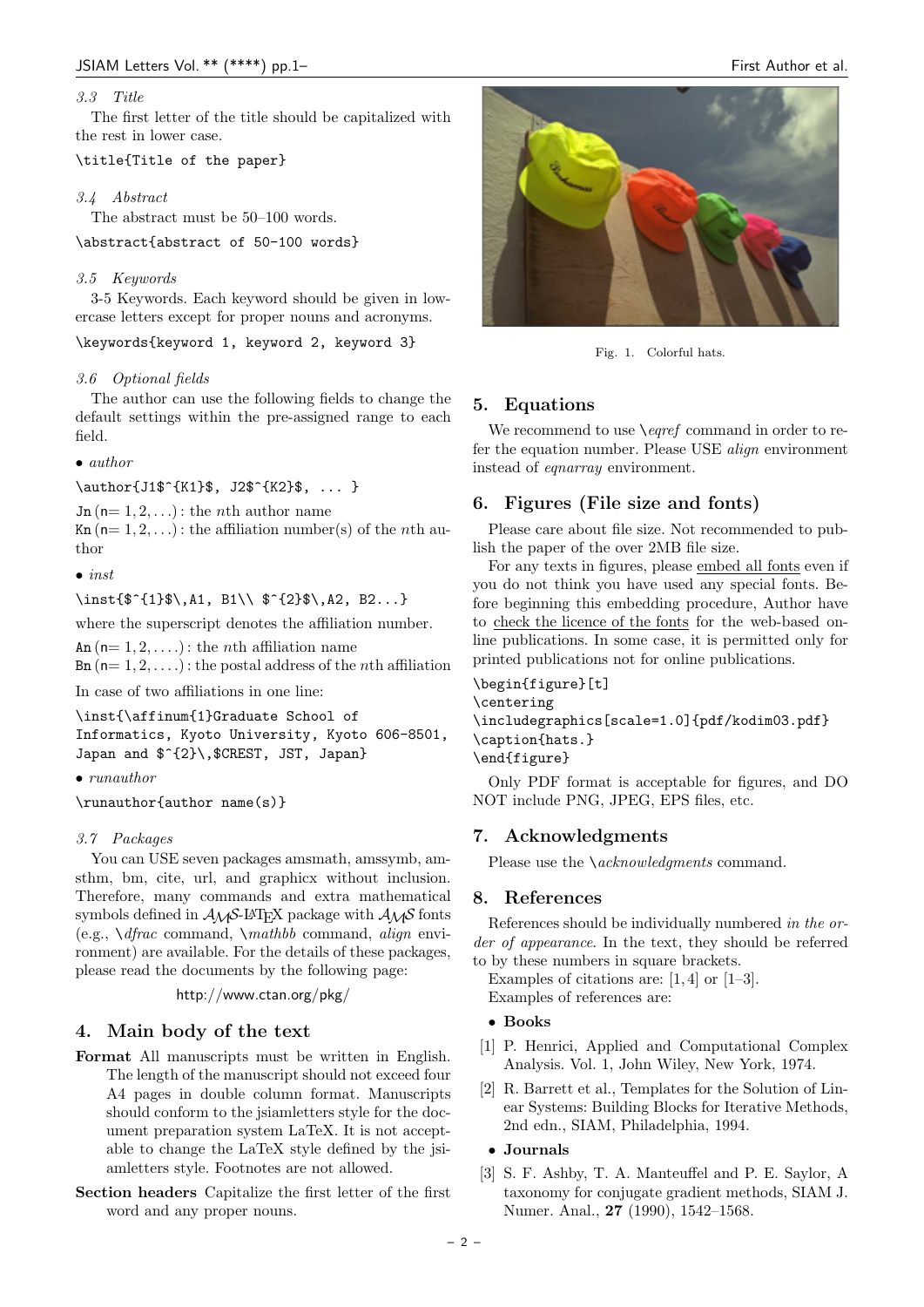# *3.3 Title*

The first letter of the title should be capitalized with the rest in lower case.

# \title{Title of the paper}

#### *3.4 Abstract*

The abstract must be 50–100 words.

\abstract{abstract of 50-100 words}

#### *3.5 Keywords*

3-5 Keywords. Each keyword should be given in lowercase letters except for proper nouns and acronyms.

\keywords{keyword 1, keyword 2, keyword 3}

#### *3.6 Optional fields*

The author can use the following fields to change the default settings within the pre-assigned range to each field.

*• author*

\author{J1\$^{K1}\$, J2\$^{K2}\$, ... }

 $Jn (n= 1, 2, ...)$ : the *n*th author name

 $Kn (n= 1, 2, ...)$ : the affiliation number(s) of the *n*th author

*• inst*

\inst{\$^{1}\$\,A1, B1\\ \$^{2}\$\,A2, B2...}

where the superscript denotes the affiliation number.

An  $(n= 1, 2, \ldots)$ : the *n*th affiliation name  $\text{Bn}$  ( $\text{n} = 1, 2, \ldots$ ): the postal address of the *n*th affiliation

In case of two affiliations in one line:

\inst{\affinum{1}Graduate School of Informatics, Kyoto University, Kyoto 606-8501, Japan and  $f^{(2)}\$ ,  $CREST$ , JST, Japan}

*• runauthor*

\runauthor{author name(s)}

#### *3.7 Packages*

You can USE seven packages amsmath, amssymb, amsthm, bm, cite, url, and graphicx without inclusion. Therefore, many commands and extra mathematical symbols defined in  $A_{\mathcal{M}}S$ -L<sup>A</sup>T<sub>E</sub>X package with  $A_{\mathcal{M}}S$  fonts (e.g., \*dfrac* command, \*mathbb* command, *align* environment) are available. For the details of these packages, please read the documents by the following page:

http://www.ctan.org/pkg/

# **4. Main body of the text**

- **Format** All manuscripts must be written in English. The length of the manuscript should not exceed four A4 pages in double column format. Manuscripts should conform to the jsiamletters style for the document preparation system LaTeX. It is not acceptable to change the LaTeX style defined by the jsiamletters style. Footnotes are not allowed.
- **Section headers** Capitalize the first letter of the first word and any proper nouns.



Fig. 1. Colorful hats.

# **5. Equations**

We recommend to use \*eqref* command in order to refer the equation number. Please USE *align* environment instead of *eqnarray* environment.

# **6. Figures (File size and fonts)**

Please care about file size. Not recommended to publish the paper of the over 2MB file size.

For any texts in figures, please embed all fonts even if you do not think you have used any special fonts. Before beginning this embedding procedure, Author have to check the licence of the fonts for the web-based online publications. In some case, it is permitted only for printed publications not for online publications.

```
\begin{figure}[t]
\centering
\includegraphics[scale=1.0]{pdf/kodim03.pdf}
\caption{hats.}
\end{figure}
```
Only PDF format is acceptable for figures, and DO NOT include PNG, JPEG, EPS files, etc.

# **7. Acknowledgments**

Please use the \*acknowledgments* command.

#### **8. References**

References should be individually numbered *in the order of appearance*. In the text, they should be referred to by these numbers in square brackets.

Examples of citations are:  $[1, 4]$  or  $[1-3]$ . Examples of references are:

#### *•* **Books**

- [1] P. Henrici, Applied and Computational Complex Analysis. Vol. 1, John Wiley, New York, 1974.
- [2] R. Barrett et al., Templates for the Solution of Linear Systems: Building Blocks for Iterative Methods, 2nd edn., SIAM, Philadelphia, 1994.

# *•* **Journals**

[3] S. F. Ashby, T. A. Manteuffel and P. E. Saylor, A taxonomy for conjugate gradient methods, SIAM J. Numer. Anal., **27** (1990), 1542–1568.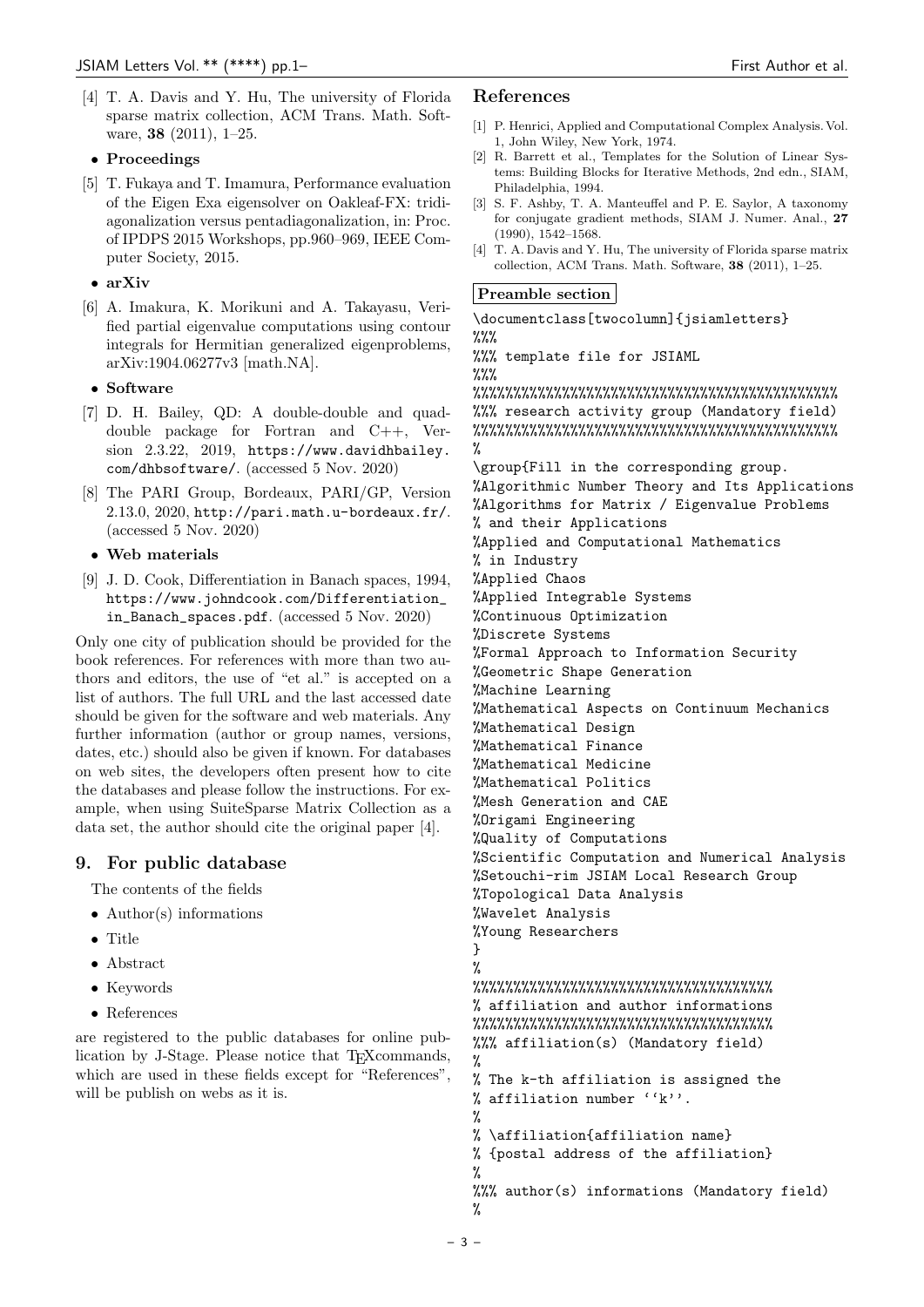- [4] T. A. Davis and Y. Hu, The university of Florida sparse matrix collection, ACM Trans. Math. Software, **38** (2011), 1–25.
- *•* **Proceedings**
- [5] T. Fukaya and T. Imamura, Performance evaluation of the Eigen Exa eigensolver on Oakleaf-FX: tridiagonalization versus pentadiagonalization, in: Proc. of IPDPS 2015 Workshops, pp.960–969, IEEE Computer Society, 2015.

# *•* **arXiv**

[6] A. Imakura, K. Morikuni and A. Takayasu, Verified partial eigenvalue computations using contour integrals for Hermitian generalized eigenproblems, arXiv:1904.06277v3 [math.NA].

# *•* **Software**

- [7] D. H. Bailey, QD: A double-double and quaddouble package for Fortran and C++, Version 2.3.22, 2019, https://www.davidhbailey. com/dhbsoftware/. (accessed 5 Nov. 2020)
- [8] The PARI Group, Bordeaux, PARI/GP, Version 2.13.0, 2020, http://pari.math.u-bordeaux.fr/. (accessed 5 Nov. 2020)

# *•* **Web materials**

[9] J. D. Cook, Differentiation in Banach spaces, 1994, https://www.johndcook.com/Differentiation\_ in\_Banach\_spaces.pdf. (accessed 5 Nov. 2020)

Only one city of publication should be provided for the book references. For references with more than two authors and editors, the use of "et al." is accepted on a list of authors. The full URL and the last accessed date should be given for the software and web materials. Any further information (author or group names, versions, dates, etc.) should also be given if known. For databases on web sites, the developers often present how to cite the databases and please follow the instructions. For example, when using SuiteSparse Matrix Collection as a data set, the author should cite the original paper [4].

# **9. For public database**

The contents of the fields

- Author(s) informations
- Title
- Abstract
- Keywords
- References

are registered to the public databases for online publication by J-Stage. Please notice that T<sub>E</sub>Xcommands, which are used in these fields except for "References", will be publish on webs as it is.

#### **References**

- [1] P. Henrici, Applied and Computational Complex Analysis. Vol. 1, John Wiley, New York, 1974.
- [2] R. Barrett et al., Templates for the Solution of Linear Systems: Building Blocks for Iterative Methods, 2nd edn., SIAM, Philadelphia, 1994.
- [3] S. F. Ashby, T. A. Manteuffel and P. E. Saylor, A taxonomy for conjugate gradient methods, SIAM J. Numer. Anal., **27** (1990), 1542–1568.
- [4] T. A. Davis and Y. Hu, The university of Florida sparse matrix collection, ACM Trans. Math. Software, **38** (2011), 1–25.

# **Preamble section**

\documentclass[twocolumn]{jsiamletters}  $\%$ % %%% template file for JSIAML  $\%$ %

%%%%%%%%%%%%%%%%%%%%%%%%%%%%%%%%%%%%%%%%%%%%% %%% research activity group (Mandatory field) %%%%%%%%%%%%%%%%%%%%%%%%%%%%%%%%%%%%%%%%%%%%% %

\group{Fill in the corresponding group. %Algorithmic Number Theory and Its Applications %Algorithms for Matrix / Eigenvalue Problems % and their Applications %Applied and Computational Mathematics % in Industry %Applied Chaos %Applied Integrable Systems %Continuous Optimization %Discrete Systems %Formal Approach to Information Security %Geometric Shape Generation %Machine Learning %Mathematical Aspects on Continuum Mechanics %Mathematical Design %Mathematical Finance %Mathematical Medicine %Mathematical Politics %Mesh Generation and CAE %Origami Engineering %Quality of Computations %Scientific Computation and Numerical Analysis %Setouchi-rim JSIAM Local Research Group %Topological Data Analysis %Wavelet Analysis %Young Researchers }  $\gamma$ %%%%%%%%%%%%%%%%%%%%%%%%%%%%%%%%%%%%% % affiliation and author informations %%%%%%%%%%%%%%%%%%%%%%%%%%%%%%%%%%%%% %%% affiliation(s) (Mandatory field) % % The k-th affiliation is assigned the % affiliation number ''k''. % % \affiliation{affiliation name} % {postal address of the affiliation} % %%% author(s) informations (Mandatory field) %